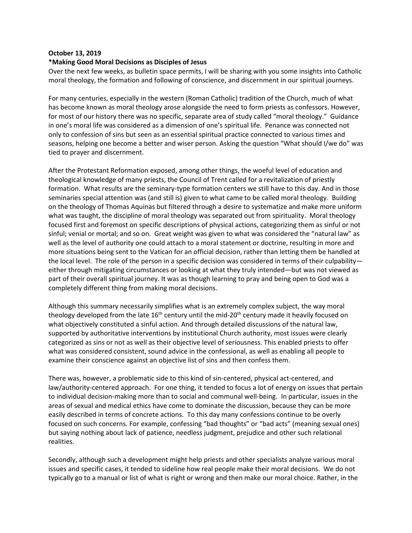## **October 13, 2019**

## **\*Making Good Moral Decisions as Disciples of Jesus**

Over the next few weeks, as bulletin space permits, I will be sharing with you some insights into Catholic moral theology, the formation and following of conscience, and discernment in our spiritual journeys.

For many centuries, especially in the western (Roman Catholic) tradition of the Church, much of what has become known as moral theology arose alongside the need to form priests as confessors. However, for most of our history there was no specific, separate area of study called "moral theology." Guidance in one's moral life was considered as a dimension of one's spiritual life. Penance was connected not only to confession of sins but seen as an essential spiritual practice connected to various times and seasons, helping one become a better and wiser person. Asking the question "What should I/we do" was tied to prayer and discernment.

After the Protestant Reformation exposed, among other things, the woeful level of education and theological knowledge of many priests, the Council of Trent called for a revitalization of priestly formation. What results are the seminary-type formation centers we still have to this day. And in those seminaries special attention was (and still is) given to what came to be called moral theology. Building on the theology of Thomas Aquinas but filtered through a desire to systematize and make more uniform what was taught, the discipline of moral theology was separated out from spirituality. Moral theology focused first and foremost on specific descriptions of physical actions, categorizing them as sinful or not sinful; venial or mortal; and so on. Great weight was given to what was considered the "natural law" as well as the level of authority one could attach to a moral statement or doctrine, resulting in more and more situations being sent to the Vatican for an official decision, rather than letting them be handled at the local level. The role of the person in a specific decision was considered in terms of their culpability either through mitigating circumstances or looking at what they truly intended—but was not viewed as part of their overall spiritual journey. It was as though learning to pray and being open to God was a completely different thing from making moral decisions.

Although this summary necessarily simplifies what is an extremely complex subject, the way moral theology developed from the late  $16<sup>th</sup>$  century until the mid-20<sup>th</sup> century made it heavily focused on what objectively constituted a sinful action. And through detailed discussions of the natural law, supported by authoritative interventions by institutional Church authority, most issues were clearly categorized as sins or not as well as their objective level of seriousness. This enabled priests to offer what was considered consistent, sound advice in the confessional, as well as enabling all people to examine their conscience against an objective list of sins and then confess them.

There was, however, a problematic side to this kind of sin-centered, physical act-centered, and law/authority-centered approach. For one thing, it tended to focus a lot of energy on issues that pertain to individual decision-making more than to social and communal well-being. In particular, issues in the areas of sexual and medical ethics have come to dominate the discussion, because they can be more easily described in terms of concrete actions. To this day many confessions continue to be overly focused on such concerns. For example, confessing "bad thoughts" or "bad acts" (meaning sexual ones) but saying nothing about lack of patience, needless judgment, prejudice and other such relational realities.

Secondly, although such a development might help priests and other specialists analyze various moral issues and specific cases, it tended to sideline how real people make their moral decisions. We do not typically go to a manual or list of what is right or wrong and then make our moral choice. Rather, in the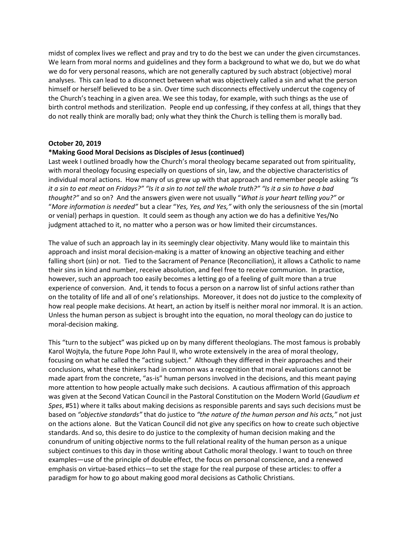midst of complex lives we reflect and pray and try to do the best we can under the given circumstances. We learn from moral norms and guidelines and they form a background to what we do, but we do what we do for very personal reasons, which are not generally captured by such abstract (objective) moral analyses. This can lead to a disconnect between what was objectively called a sin and what the person himself or herself believed to be a sin. Over time such disconnects effectively undercut the cogency of the Church's teaching in a given area. We see this today, for example, with such things as the use of birth control methods and sterilization. People end up confessing, if they confess at all, things that they do not really think are morally bad; only what they think the Church is telling them is morally bad.

## **October 20, 2019**

## **\*Making Good Moral Decisions as Disciples of Jesus (continued)**

Last week I outlined broadly how the Church's moral theology became separated out from spirituality, with moral theology focusing especially on questions of sin, law, and the objective characteristics of individual moral actions. How many of us grew up with that approach and remember people asking *"Is it a sin to eat meat on Fridays?" "Is it a sin to not tell the whole truth?" "Is it a sin to have a bad thought?"* and so on? And the answers given were not usually "*What is your heart telling you?"* or "*More information is needed"* but a clear "*Yes, Yes, and Yes,"* with only the seriousness of the sin (mortal or venial) perhaps in question. It could seem as though any action we do has a definitive Yes/No judgment attached to it, no matter who a person was or how limited their circumstances.

The value of such an approach lay in its seemingly clear objectivity. Many would like to maintain this approach and insist moral decision-making is a matter of knowing an objective teaching and either falling short (sin) or not. Tied to the Sacrament of Penance (Reconciliation), it allows a Catholic to name their sins in kind and number, receive absolution, and feel free to receive communion. In practice, however, such an approach too easily becomes a letting go of a feeling of guilt more than a true experience of conversion. And, it tends to focus a person on a narrow list of sinful actions rather than on the totality of life and all of one's relationships. Moreover, it does not do justice to the complexity of how real people make decisions. At heart, an action by itself is neither moral nor immoral. It is an action. Unless the human person as subject is brought into the equation, no moral theology can do justice to moral-decision making.

This "turn to the subject" was picked up on by many different theologians. The most famous is probably Karol Wojtyla, the future Pope John Paul II, who wrote extensively in the area of moral theology, focusing on what he called the "acting subject." Although they differed in their approaches and their conclusions, what these thinkers had in common was a recognition that moral evaluations cannot be made apart from the concrete, "as-is" human persons involved in the decisions, and this meant paying more attention to how people actually make such decisions. A cautious affirmation of this approach was given at the Second Vatican Council in the Pastoral Constitution on the Modern World (*Gaudium et Spes*, #51) where it talks about making decisions as responsible parents and says such decisions must be based on *"objective standards"* that do justice to *"the nature of the human person and his acts,"* not just on the actions alone. But the Vatican Council did not give any specifics on how to create such objective standards. And so, this desire to do justice to the complexity of human decision making and the conundrum of uniting objective norms to the full relational reality of the human person as a unique subject continues to this day in those writing about Catholic moral theology. I want to touch on three examples—use of the principle of double effect, the focus on personal conscience, and a renewed emphasis on virtue-based ethics—to set the stage for the real purpose of these articles: to offer a paradigm for how to go about making good moral decisions as Catholic Christians.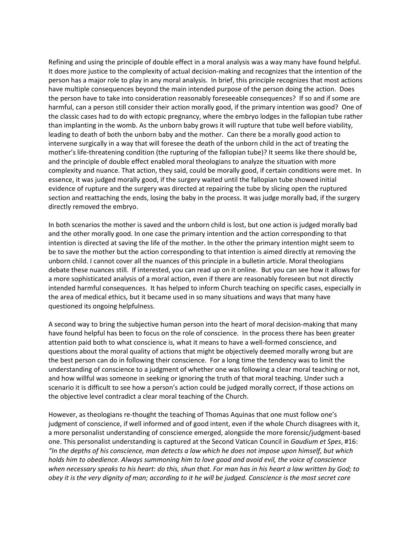Refining and using the principle of double effect in a moral analysis was a way many have found helpful. It does more justice to the complexity of actual decision-making and recognizes that the intention of the person has a major role to play in any moral analysis. In brief, this principle recognizes that most actions have multiple consequences beyond the main intended purpose of the person doing the action. Does the person have to take into consideration reasonably foreseeable consequences? If so and if some are harmful, can a person still consider their action morally good, if the primary intention was good? One of the classic cases had to do with ectopic pregnancy, where the embryo lodges in the fallopian tube rather than implanting in the womb. As the unborn baby grows it will rupture that tube well before viability, leading to death of both the unborn baby and the mother. Can there be a morally good action to intervene surgically in a way that will foresee the death of the unborn child in the act of treating the mother's life-threatening condition (the rupturing of the fallopian tube)? It seems like there should be, and the principle of double effect enabled moral theologians to analyze the situation with more complexity and nuance. That action, they said, could be morally good, if certain conditions were met. In essence, it was judged morally good, if the surgery waited until the fallopian tube showed initial evidence of rupture and the surgery was directed at repairing the tube by slicing open the ruptured section and reattaching the ends, losing the baby in the process. It was judge morally bad, if the surgery directly removed the embryo.

In both scenarios the mother is saved and the unborn child is lost, but one action is judged morally bad and the other morally good. In one case the primary intention and the action corresponding to that intention is directed at saving the life of the mother. In the other the primary intention might seem to be to save the mother but the action corresponding to that intention is aimed directly at removing the unborn child. I cannot cover all the nuances of this principle in a bulletin article. Moral theologians debate these nuances still. If interested, you can read up on it online. But you can see how it allows for a more sophisticated analysis of a moral action, even if there are reasonably foreseen but not directly intended harmful consequences. It has helped to inform Church teaching on specific cases, especially in the area of medical ethics, but it became used in so many situations and ways that many have questioned its ongoing helpfulness.

A second way to bring the subjective human person into the heart of moral decision-making that many have found helpful has been to focus on the role of conscience. In the process there has been greater attention paid both to what conscience is, what it means to have a well-formed conscience, and questions about the moral quality of actions that might be objectively deemed morally wrong but are the best person can do in following their conscience. For a long time the tendency was to limit the understanding of conscience to a judgment of whether one was following a clear moral teaching or not, and how willful was someone in seeking or ignoring the truth of that moral teaching. Under such a scenario it is difficult to see how a person's action could be judged morally correct, if those actions on the objective level contradict a clear moral teaching of the Church.

However, as theologians re-thought the teaching of Thomas Aquinas that one must follow one's judgment of conscience, if well informed and of good intent, even if the whole Church disagrees with it, a more personalist understanding of conscience emerged, alongside the more forensic/judgment-based one. This personalist understanding is captured at the Second Vatican Council in *Gaudium et Spes*, #16: *"In the depths of his conscience, man detects a law which he does not impose upon himself, but which holds him to obedience. Always summoning him to love good and avoid evil, the voice of conscience when necessary speaks to his heart: do this, shun that. For man has in his heart a law written by God; to obey it is the very dignity of man; according to it he will be judged. Conscience is the most secret core*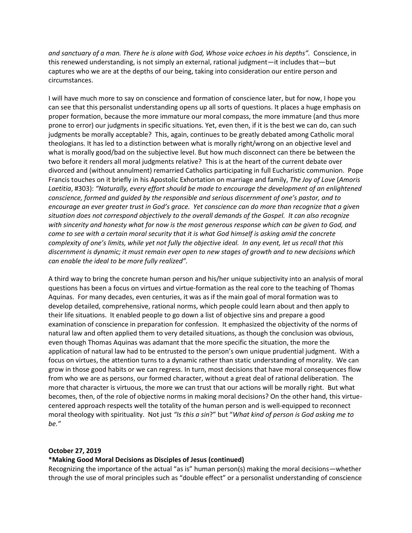*and sanctuary of a man. There he is alone with God, Whose voice echoes in his depths".* Conscience, in this renewed understanding, is not simply an external, rational judgment—it includes that—but captures who we are at the depths of our being, taking into consideration our entire person and circumstances.

I will have much more to say on conscience and formation of conscience later, but for now, I hope you can see that this personalist understanding opens up all sorts of questions. It places a huge emphasis on proper formation, because the more immature our moral compass, the more immature (and thus more prone to error) our judgments in specific situations. Yet, even then, if it is the best we can do, can such judgments be morally acceptable? This, again, continues to be greatly debated among Catholic moral theologians. It has led to a distinction between what is morally right/wrong on an objective level and what is morally good/bad on the subjective level. But how much disconnect can there be between the two before it renders all moral judgments relative? This is at the heart of the current debate over divorced and (without annulment) remarried Catholics participating in full Eucharistic communion. Pope Francis touches on it briefly in his Apostolic Exhortation on marriage and family, *The Joy of Love* (*Amoris Laetitia*, #303): *"Naturally, every effort should be made to encourage the development of an enlightened conscience, formed and guided by the responsible and serious discernment of one's pastor, and to encourage an ever greater trust in God's grace. Yet conscience can do more than recognize that a given situation does not correspond objectively to the overall demands of the Gospel. It can also recognize with sincerity and honesty what for now is the most generous response which can be given to God, and come to see with a certain moral security that it is what God himself is asking amid the concrete complexity of one's limits, while yet not fully the objective ideal. In any event, let us recall that this discernment is dynamic; it must remain ever open to new stages of growth and to new decisions which can enable the ideal to be more fully realized".*

A third way to bring the concrete human person and his/her unique subjectivity into an analysis of moral questions has been a focus on virtues and virtue-formation as the real core to the teaching of Thomas Aquinas. For many decades, even centuries, it was as if the main goal of moral formation was to develop detailed, comprehensive, rational norms, which people could learn about and then apply to their life situations. It enabled people to go down a list of objective sins and prepare a good examination of conscience in preparation for confession. It emphasized the objectivity of the norms of natural law and often applied them to very detailed situations, as though the conclusion was obvious, even though Thomas Aquinas was adamant that the more specific the situation, the more the application of natural law had to be entrusted to the person's own unique prudential judgment. With a focus on virtues, the attention turns to a dynamic rather than static understanding of morality. We can grow in those good habits or we can regress. In turn, most decisions that have moral consequences flow from who we are as persons, our formed character, without a great deal of rational deliberation. The more that character is virtuous, the more we can trust that our actions will be morally right. But what becomes, then, of the role of objective norms in making moral decisions? On the other hand, this virtuecentered approach respects well the totality of the human person and is well-equipped to reconnect moral theology with spirituality. Not just *"Is this a sin*?" but "*What kind of person is God asking me to be."*

## **October 27, 2019**

# **\*Making Good Moral Decisions as Disciples of Jesus (continued)**

Recognizing the importance of the actual "as is" human person(s) making the moral decisions—whether through the use of moral principles such as "double effect" or a personalist understanding of conscience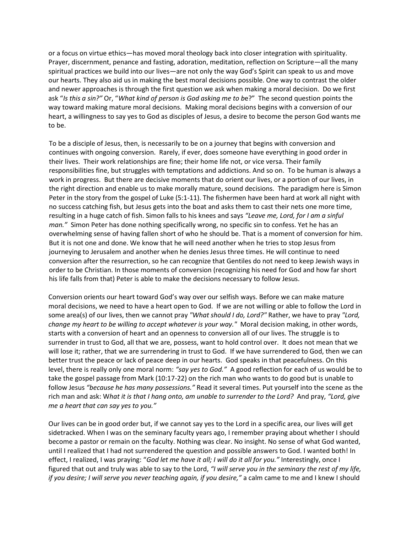or a focus on virtue ethics—has moved moral theology back into closer integration with spirituality. Prayer, discernment, penance and fasting, adoration, meditation, reflection on Scripture—all the many spiritual practices we build into our lives—are not only the way God's Spirit can speak to us and move our hearts. They also aid us in making the best moral decisions possible. One way to contrast the older and newer approaches is through the first question we ask when making a moral decision. Do we first ask "*Is this a sin?"* Or, "*What kind of person is God asking me to b*e?" The second question points the way toward making mature moral decisions. Making moral decisions begins with a conversion of our heart, a willingness to say yes to God as disciples of Jesus, a desire to become the person God wants me to be.

To be a disciple of Jesus, then, is necessarily to be on a journey that begins with conversion and continues with ongoing conversion. Rarely, if ever, does someone have everything in good order in their lives. Their work relationships are fine; their home life not, or vice versa. Their family responsibilities fine, but struggles with temptations and addictions. And so on. To be human is always a work in progress. But there are decisive moments that do orient our lives, or a portion of our lives, in the right direction and enable us to make morally mature, sound decisions. The paradigm here is Simon Peter in the story from the gospel of Luke (5:1-11). The fishermen have been hard at work all night with no success catching fish, but Jesus gets into the boat and asks them to cast their nets one more time, resulting in a huge catch of fish. Simon falls to his knees and says *"Leave me, Lord, for I am a sinful man."* Simon Peter has done nothing specifically wrong, no specific sin to confess. Yet he has an overwhelming sense of having fallen short of who he should be. That is a moment of conversion for him. But it is not one and done. We know that he will need another when he tries to stop Jesus from journeying to Jerusalem and another when he denies Jesus three times. He will continue to need conversion after the resurrection, so he can recognize that Gentiles do not need to keep Jewish ways in order to be Christian. In those moments of conversion (recognizing his need for God and how far short his life falls from that) Peter is able to make the decisions necessary to follow Jesus.

Conversion orients our heart toward God's way over our selfish ways. Before we can make mature moral decisions, we need to have a heart open to God. If we are not willing or able to follow the Lord in some area(s) of our lives, then we cannot pray *"What should I do, Lord?"* Rather, we have to pray *"Lord, change my heart to be willing to accept whatever is your way."* Moral decision making, in other words, starts with a conversion of heart and an openness to conversion all of our lives. The struggle is to surrender in trust to God, all that we are, possess, want to hold control over. It does not mean that we will lose it; rather, that we are surrendering in trust to God. If we have surrendered to God, then we can better trust the peace or lack of peace deep in our hearts. God speaks in that peacefulness. On this level, there is really only one moral norm: *"say yes to God."* A good reflection for each of us would be to take the gospel passage from Mark (10:17-22) on the rich man who wants to do good but is unable to follow Jesus *"because he has many possessions."* Read it several times. Put yourself into the scene as the rich man and ask: W*hat it is that I hang onto, am unable to surrender to the Lord?* And pray, *"Lord, give me a heart that can say yes to you."*

Our lives can be in good order but, if we cannot say yes to the Lord in a specific area, our lives will get sidetracked. When I was on the seminary faculty years ago, I remember praying about whether I should become a pastor or remain on the faculty. Nothing was clear. No insight. No sense of what God wanted, until I realized that I had not surrendered the question and possible answers to God. I wanted both! In effect, I realized, I was praying: "*God let me have it all; I will do it all for you."* Interestingly, once I figured that out and truly was able to say to the Lord, *"I will serve you in the seminary the rest of my life, if you desire; I will serve you never teaching again, if you desire,"* a calm came to me and I knew I should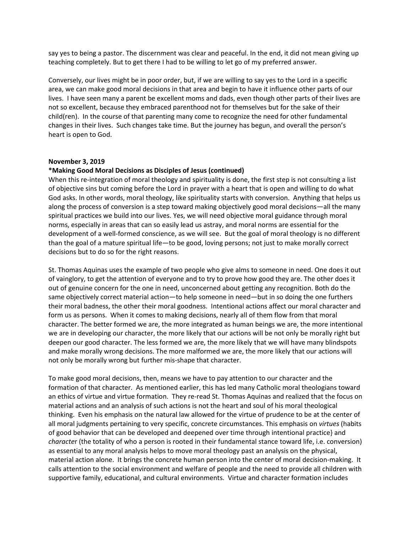say yes to being a pastor. The discernment was clear and peaceful. In the end, it did not mean giving up teaching completely. But to get there I had to be willing to let go of my preferred answer.

Conversely, our lives might be in poor order, but, if we are willing to say yes to the Lord in a specific area, we can make good moral decisions in that area and begin to have it influence other parts of our lives. I have seen many a parent be excellent moms and dads, even though other parts of their lives are not so excellent, because they embraced parenthood not for themselves but for the sake of their child(ren). In the course of that parenting many come to recognize the need for other fundamental changes in their lives. Such changes take time. But the journey has begun, and overall the person's heart is open to God.

#### **November 3, 2019**

### **\*Making Good Moral Decisions as Disciples of Jesus (continued)**

When this re-integration of moral theology and spirituality is done, the first step is not consulting a list of objective sins but coming before the Lord in prayer with a heart that is open and willing to do what God asks. In other words, moral theology, like spirituality starts with conversion. Anything that helps us along the process of conversion is a step toward making objectively good moral decisions—all the many spiritual practices we build into our lives. Yes, we will need objective moral guidance through moral norms, especially in areas that can so easily lead us astray, and moral norms are essential for the development of a well-formed conscience, as we will see. But the goal of moral theology is no different than the goal of a mature spiritual life—to be good, loving persons; not just to make morally correct decisions but to do so for the right reasons.

St. Thomas Aquinas uses the example of two people who give alms to someone in need. One does it out of vainglory, to get the attention of everyone and to try to prove how good they are. The other does it out of genuine concern for the one in need, unconcerned about getting any recognition. Both do the same objectively correct material action—to help someone in need—but in so doing the one furthers their moral badness, the other their moral goodness. Intentional actions affect our moral character and form us as persons. When it comes to making decisions, nearly all of them flow from that moral character. The better formed we are, the more integrated as human beings we are, the more intentional we are in developing our character, the more likely that our actions will be not only be morally right but deepen our good character. The less formed we are, the more likely that we will have many blindspots and make morally wrong decisions. The more malformed we are, the more likely that our actions will not only be morally wrong but further mis-shape that character.

To make good moral decisions, then, means we have to pay attention to our character and the formation of that character. As mentioned earlier, this has led many Catholic moral theologians toward an ethics of virtue and virtue formation. They re-read St. Thomas Aquinas and realized that the focus on material actions and an analysis of such actions is not the heart and soul of his moral theological thinking. Even his emphasis on the natural law allowed for the virtue of prudence to be at the center of all moral judgments pertaining to very specific, concrete circumstances. This emphasis on *virtues* (habits of good behavior that can be developed and deepened over time through intentional practice} and *characte*r (the totality of who a person is rooted in their fundamental stance toward life, i.e. conversion) as essential to any moral analysis helps to move moral theology past an analysis on the physical, material action alone. It brings the concrete human person into the center of moral decision-making. It calls attention to the social environment and welfare of people and the need to provide all children with supportive family, educational, and cultural environments. Virtue and character formation includes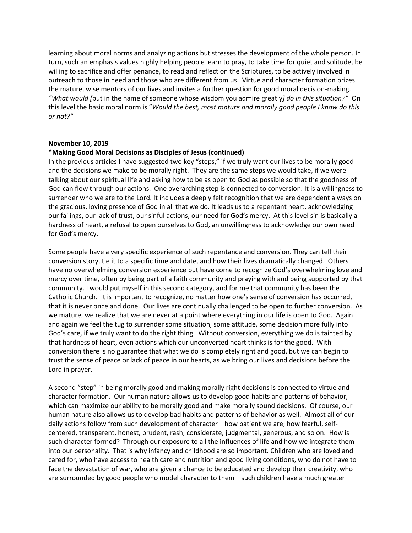learning about moral norms and analyzing actions but stresses the development of the whole person. In turn, such an emphasis values highly helping people learn to pray, to take time for quiet and solitude, be willing to sacrifice and offer penance, to read and reflect on the Scriptures, to be actively involved in outreach to those in need and those who are different from us. Virtue and character formation prizes the mature, wise mentors of our lives and invites a further question for good moral decision-making. *"What would [*put in the name of someone whose wisdom you admire greatly*] do in this situation?"* On this level the basic moral norm is "*Would the best, most mature and morally good people I know do this or not?"*

## **November 10, 2019**

### **\*Making Good Moral Decisions as Disciples of Jesus (continued)**

In the previous articles I have suggested two key "steps," if we truly want our lives to be morally good and the decisions we make to be morally right. They are the same steps we would take, if we were talking about our spiritual life and asking how to be as open to God as possible so that the goodness of God can flow through our actions. One overarching step is connected to conversion. It is a willingness to surrender who we are to the Lord. It includes a deeply felt recognition that we are dependent always on the gracious, loving presence of God in all that we do. It leads us to a repentant heart, acknowledging our failings, our lack of trust, our sinful actions, our need for God's mercy. At this level sin is basically a hardness of heart, a refusal to open ourselves to God, an unwillingness to acknowledge our own need for God's mercy.

Some people have a very specific experience of such repentance and conversion. They can tell their conversion story, tie it to a specific time and date, and how their lives dramatically changed. Others have no overwhelming conversion experience but have come to recognize God's overwhelming love and mercy over time, often by being part of a faith community and praying with and being supported by that community. I would put myself in this second category, and for me that community has been the Catholic Church. It is important to recognize, no matter how one's sense of conversion has occurred, that it is never once and done. Our lives are continually challenged to be open to further conversion. As we mature, we realize that we are never at a point where everything in our life is open to God. Again and again we feel the tug to surrender some situation, some attitude, some decision more fully into God's care, if we truly want to do the right thing. Without conversion, everything we do is tainted by that hardness of heart, even actions which our unconverted heart thinks is for the good. With conversion there is no guarantee that what we do is completely right and good, but we can begin to trust the sense of peace or lack of peace in our hearts, as we bring our lives and decisions before the Lord in prayer.

A second "step" in being morally good and making morally right decisions is connected to virtue and character formation. Our human nature allows us to develop good habits and patterns of behavior, which can maximize our ability to be morally good and make morally sound decisions. Of course, our human nature also allows us to develop bad habits and patterns of behavior as well. Almost all of our daily actions follow from such development of character—how patient we are; how fearful, selfcentered, transparent, honest, prudent, rash, considerate, judgmental, generous, and so on. How is such character formed? Through our exposure to all the influences of life and how we integrate them into our personality. That is why infancy and childhood are so important. Children who are loved and cared for, who have access to health care and nutrition and good living conditions, who do not have to face the devastation of war, who are given a chance to be educated and develop their creativity, who are surrounded by good people who model character to them—such children have a much greater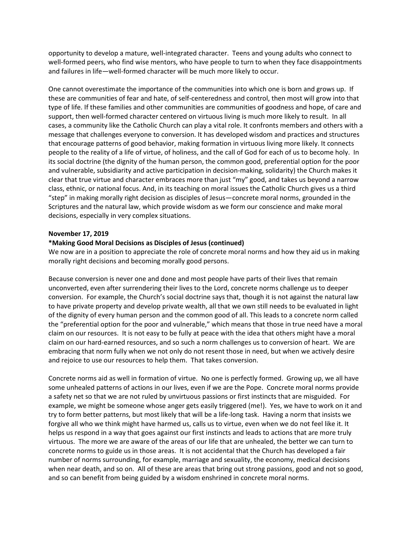opportunity to develop a mature, well-integrated character. Teens and young adults who connect to well-formed peers, who find wise mentors, who have people to turn to when they face disappointments and failures in life—well-formed character will be much more likely to occur.

One cannot overestimate the importance of the communities into which one is born and grows up. If these are communities of fear and hate, of self-centeredness and control, then most will grow into that type of life. If these families and other communities are communities of goodness and hope, of care and support, then well-formed character centered on virtuous living is much more likely to result. In all cases, a community like the Catholic Church can play a vital role. It confronts members and others with a message that challenges everyone to conversion. It has developed wisdom and practices and structures that encourage patterns of good behavior, making formation in virtuous living more likely. It connects people to the reality of a life of virtue, of holiness, and the call of God for each of us to become holy. In its social doctrine (the dignity of the human person, the common good, preferential option for the poor and vulnerable, subsidiarity and active participation in decision-making, solidarity) the Church makes it clear that true virtue and character embraces more than just "my" good, and takes us beyond a narrow class, ethnic, or national focus. And, in its teaching on moral issues the Catholic Church gives us a third "step" in making morally right decision as disciples of Jesus—concrete moral norms, grounded in the Scriptures and the natural law, which provide wisdom as we form our conscience and make moral decisions, especially in very complex situations.

### **November 17, 2019**

### **\*Making Good Moral Decisions as Disciples of Jesus (continued)**

We now are in a position to appreciate the role of concrete moral norms and how they aid us in making morally right decisions and becoming morally good persons.

Because conversion is never one and done and most people have parts of their lives that remain unconverted, even after surrendering their lives to the Lord, concrete norms challenge us to deeper conversion. For example, the Church's social doctrine says that, though it is not against the natural law to have private property and develop private wealth, all that we own still needs to be evaluated in light of the dignity of every human person and the common good of all. This leads to a concrete norm called the "preferential option for the poor and vulnerable," which means that those in true need have a moral claim on our resources. It is not easy to be fully at peace with the idea that others might have a moral claim on our hard-earned resources, and so such a norm challenges us to conversion of heart. We are embracing that norm fully when we not only do not resent those in need, but when we actively desire and rejoice to use our resources to help them. That takes conversion.

Concrete norms aid as well in formation of virtue. No one is perfectly formed. Growing up, we all have some unhealed patterns of actions in our lives, even if we are the Pope. Concrete moral norms provide a safety net so that we are not ruled by unvirtuous passions or first instincts that are misguided. For example, we might be someone whose anger gets easily triggered (me!). Yes, we have to work on it and try to form better patterns, but most likely that will be a life-long task. Having a norm that insists we forgive all who we think might have harmed us, calls us to virtue, even when we do not feel like it. It helps us respond in a way that goes against our first instincts and leads to actions that are more truly virtuous. The more we are aware of the areas of our life that are unhealed, the better we can turn to concrete norms to guide us in those areas. It is not accidental that the Church has developed a fair number of norms surrounding, for example, marriage and sexuality, the economy, medical decisions when near death, and so on. All of these are areas that bring out strong passions, good and not so good, and so can benefit from being guided by a wisdom enshrined in concrete moral norms.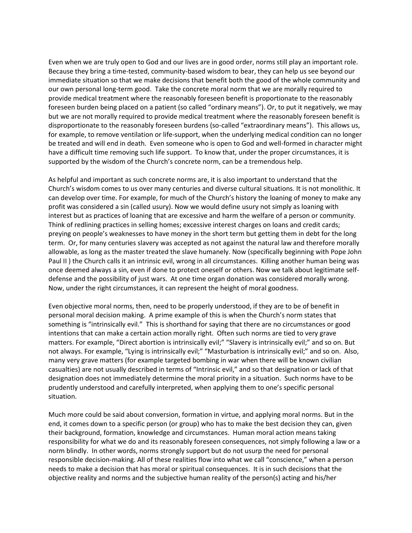Even when we are truly open to God and our lives are in good order, norms still play an important role. Because they bring a time-tested, community-based wisdom to bear, they can help us see beyond our immediate situation so that we make decisions that benefit both the good of the whole community and our own personal long-term good. Take the concrete moral norm that we are morally required to provide medical treatment where the reasonably foreseen benefit is proportionate to the reasonably foreseen burden being placed on a patient (so called "ordinary means"). Or, to put it negatively, we may but we are not morally required to provide medical treatment where the reasonably foreseen benefit is disproportionate to the reasonably foreseen burdens (so-called "extraordinary means"). This allows us, for example, to remove ventilation or life-support, when the underlying medical condition can no longer be treated and will end in death. Even someone who is open to God and well-formed in character might have a difficult time removing such life support. To know that, under the proper circumstances, it is supported by the wisdom of the Church's concrete norm, can be a tremendous help.

As helpful and important as such concrete norms are, it is also important to understand that the Church's wisdom comes to us over many centuries and diverse cultural situations. It is not monolithic. It can develop over time. For example, for much of the Church's history the loaning of money to make any profit was considered a sin (called usury). Now we would define usury not simply as loaning with interest but as practices of loaning that are excessive and harm the welfare of a person or community. Think of redlining practices in selling homes; excessive interest charges on loans and credit cards; preying on people's weaknesses to have money in the short term but getting them in debt for the long term. Or, for many centuries slavery was accepted as not against the natural law and therefore morally allowable, as long as the master treated the slave humanely. Now (specifically beginning with Pope John Paul II ) the Church calls it an intrinsic evil, wrong in all circumstances. Killing another human being was once deemed always a sin, even if done to protect oneself or others. Now we talk about legitimate selfdefense and the possibility of just wars. At one time organ donation was considered morally wrong. Now, under the right circumstances, it can represent the height of moral goodness.

Even objective moral norms, then, need to be properly understood, if they are to be of benefit in personal moral decision making. A prime example of this is when the Church's norm states that something is "intrinsically evil." This is shorthand for saying that there are no circumstances or good intentions that can make a certain action morally right. Often such norms are tied to very grave matters. For example, "Direct abortion is intrinsically evil;" "Slavery is intrinsically evil;" and so on. But not always. For example, "Lying is intrinsically evil;" "Masturbation is intrinsically evil;" and so on. Also, many very grave matters (for example targeted bombing in war when there will be known civilian casualties) are not usually described in terms of "Intrinsic evil," and so that designation or lack of that designation does not immediately determine the moral priority in a situation. Such norms have to be prudently understood and carefully interpreted, when applying them to one's specific personal situation.

Much more could be said about conversion, formation in virtue, and applying moral norms. But in the end, it comes down to a specific person (or group) who has to make the best decision they can, given their background, formation, knowledge and circumstances. Human moral action means taking responsibility for what we do and its reasonably foreseen consequences, not simply following a law or a norm blindly. In other words, norms strongly support but do not usurp the need for personal responsible decision-making. All of these realities flow into what we call "conscience," when a person needs to make a decision that has moral or spiritual consequences. It is in such decisions that the objective reality and norms and the subjective human reality of the person(s) acting and his/her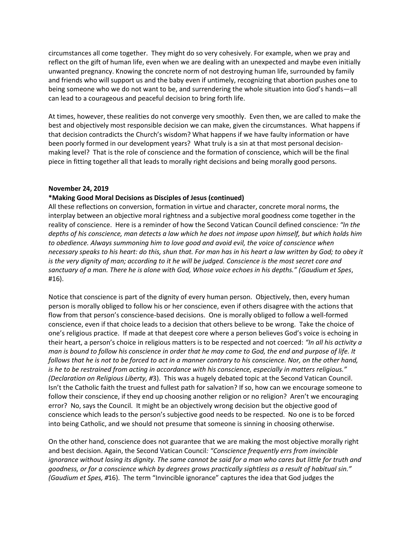circumstances all come together. They might do so very cohesively. For example, when we pray and reflect on the gift of human life, even when we are dealing with an unexpected and maybe even initially unwanted pregnancy. Knowing the concrete norm of not destroying human life, surrounded by family and friends who will support us and the baby even if untimely, recognizing that abortion pushes one to being someone who we do not want to be, and surrendering the whole situation into God's hands—all can lead to a courageous and peaceful decision to bring forth life.

At times, however, these realities do not converge very smoothly. Even then, we are called to make the best and objectively most responsible decision we can make, given the circumstances. What happens if that decision contradicts the Church's wisdom? What happens if we have faulty information or have been poorly formed in our development years? What truly is a sin at that most personal decisionmaking level? That is the role of conscience and the formation of conscience, which will be the final piece in fitting together all that leads to morally right decisions and being morally good persons.

## **November 24, 2019**

## **\*Making Good Moral Decisions as Disciples of Jesus (continued)**

All these reflections on conversion, formation in virtue and character, concrete moral norms, the interplay between an objective moral rightness and a subjective moral goodness come together in the reality of conscience. Here is a reminder of how the Second Vatican Council defined conscience*: "In the depths of his conscience, man detects a law which he does not impose upon himself, but which holds him to obedience. Always summoning him to love good and avoid evil, the voice of conscience when necessary speaks to his heart: do this, shun that. For man has in his heart a law written by God; to obey it is the very dignity of man; according to it he will be judged. Conscience is the most secret core and sanctuary of a man. There he is alone with God, Whose voice echoes in his depths." (Gaudium et Spes*, #16).

Notice that conscience is part of the dignity of every human person. Objectively, then, every human person is morally obliged to follow his or her conscience, even if others disagree with the actions that flow from that person's conscience-based decisions. One is morally obliged to follow a well-formed conscience, even if that choice leads to a decision that others believe to be wrong. Take the choice of one's religious practice. If made at that deepest core where a person believes God's voice is echoing in their heart, a person's choice in religious matters is to be respected and not coerced: *"In all his activity a man is bound to follow his conscience in order that he may come to God, the end and purpose of life. It follows that he is not to be forced to act in a manner contrary to his conscience. Nor, on the other hand, is he to be restrained from acting in accordance with his conscience, especially in matters religious." (Declaration on Religious Liberty, #*3). This was a hugely debated topic at the Second Vatican Council. Isn't the Catholic faith the truest and fullest path for salvation? If so, how can we encourage someone to follow their conscience, if they end up choosing another religion or no religion? Aren't we encouraging error? No, says the Council. It might be an objectively wrong decision but the objective good of conscience which leads to the person's subjective good needs to be respected. No one is to be forced into being Catholic, and we should not presume that someone is sinning in choosing otherwise.

On the other hand, conscience does not guarantee that we are making the most objective morally right and best decision. Again, the Second Vatican Council*: "Conscience frequently errs from invincible ignorance without losing its dignity. The same cannot be said for a man who cares but little for truth and goodness, or for a conscience which by degrees grows practically sightless as a result of habitual sin." (Gaudium et Spes, #*16). The term "Invincible ignorance" captures the idea that God judges the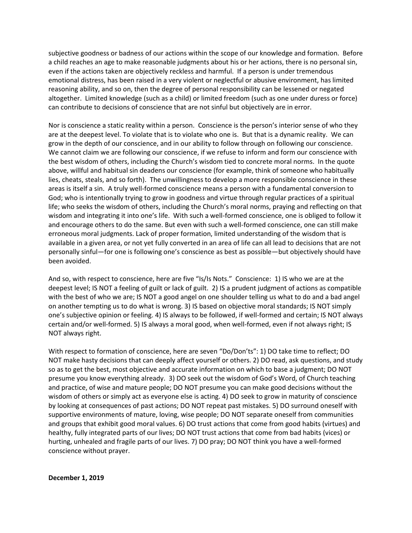subjective goodness or badness of our actions within the scope of our knowledge and formation. Before a child reaches an age to make reasonable judgments about his or her actions, there is no personal sin, even if the actions taken are objectively reckless and harmful. If a person is under tremendous emotional distress, has been raised in a very violent or neglectful or abusive environment, has limited reasoning ability, and so on, then the degree of personal responsibility can be lessened or negated altogether. Limited knowledge (such as a child) or limited freedom (such as one under duress or force) can contribute to decisions of conscience that are not sinful but objectively are in error.

Nor is conscience a static reality within a person. Conscience is the person's interior sense of who they are at the deepest level. To violate that is to violate who one is. But that is a dynamic reality. We can grow in the depth of our conscience, and in our ability to follow through on following our conscience. We cannot claim we are following our conscience, if we refuse to inform and form our conscience with the best wisdom of others, including the Church's wisdom tied to concrete moral norms. In the quote above, willful and habitual sin deadens our conscience (for example, think of someone who habitually lies, cheats, steals, and so forth). The unwillingness to develop a more responsible conscience in these areas is itself a sin. A truly well-formed conscience means a person with a fundamental conversion to God; who is intentionally trying to grow in goodness and virtue through regular practices of a spiritual life; who seeks the wisdom of others, including the Church's moral norms, praying and reflecting on that wisdom and integrating it into one's life. With such a well-formed conscience, one is obliged to follow it and encourage others to do the same. But even with such a well-formed conscience, one can still make erroneous moral judgments. Lack of proper formation, limited understanding of the wisdom that is available in a given area, or not yet fully converted in an area of life can all lead to decisions that are not personally sinful—for one is following one's conscience as best as possible—but objectively should have been avoided.

And so, with respect to conscience, here are five "Is/Is Nots." Conscience: 1) IS who we are at the deepest level; IS NOT a feeling of guilt or lack of guilt. 2) IS a prudent judgment of actions as compatible with the best of who we are; IS NOT a good angel on one shoulder telling us what to do and a bad angel on another tempting us to do what is wrong. 3) IS based on objective moral standards; IS NOT simply one's subjective opinion or feeling. 4) IS always to be followed, if well-formed and certain; IS NOT always certain and/or well-formed. 5) IS always a moral good, when well-formed, even if not always right; IS NOT always right.

With respect to formation of conscience, here are seven "Do/Don'ts": 1) DO take time to reflect; DO NOT make hasty decisions that can deeply affect yourself or others. 2) DO read, ask questions, and study so as to get the best, most objective and accurate information on which to base a judgment; DO NOT presume you know everything already. 3) DO seek out the wisdom of God's Word, of Church teaching and practice, of wise and mature people; DO NOT presume you can make good decisions without the wisdom of others or simply act as everyone else is acting. 4) DO seek to grow in maturity of conscience by looking at consequences of past actions; DO NOT repeat past mistakes. 5) DO surround oneself with supportive environments of mature, loving, wise people; DO NOT separate oneself from communities and groups that exhibit good moral values. 6) DO trust actions that come from good habits (virtues) and healthy, fully integrated parts of our lives; DO NOT trust actions that come from bad habits (vices) or hurting, unhealed and fragile parts of our lives. 7) DO pray; DO NOT think you have a well-formed conscience without prayer.

**December 1, 2019**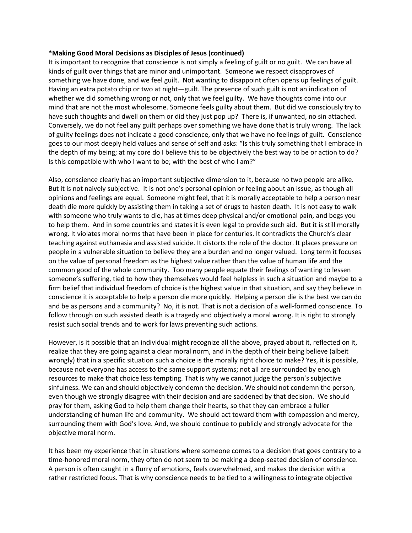## **\*Making Good Moral Decisions as Disciples of Jesus (continued)**

It is important to recognize that conscience is not simply a feeling of guilt or no guilt. We can have all kinds of guilt over things that are minor and unimportant. Someone we respect disapproves of something we have done, and we feel guilt. Not wanting to disappoint often opens up feelings of guilt. Having an extra potato chip or two at night—guilt. The presence of such guilt is not an indication of whether we did something wrong or not, only that we feel guilty. We have thoughts come into our mind that are not the most wholesome. Someone feels guilty about them. But did we consciously try to have such thoughts and dwell on them or did they just pop up? There is, if unwanted, no sin attached. Conversely, we do not feel any guilt perhaps over something we have done that is truly wrong. The lack of guilty feelings does not indicate a good conscience, only that we have no feelings of guilt. Conscience goes to our most deeply held values and sense of self and asks: "Is this truly something that I embrace in the depth of my being; at my core do I believe this to be objectively the best way to be or action to do? Is this compatible with who I want to be; with the best of who I am?"

Also, conscience clearly has an important subjective dimension to it, because no two people are alike. But it is not naively subjective. It is not one's personal opinion or feeling about an issue, as though all opinions and feelings are equal. Someone might feel, that it is morally acceptable to help a person near death die more quickly by assisting them in taking a set of drugs to hasten death. It is not easy to walk with someone who truly wants to die, has at times deep physical and/or emotional pain, and begs you to help them. And in some countries and states it is even legal to provide such aid. But it is still morally wrong. It violates moral norms that have been in place for centuries. It contradicts the Church's clear teaching against euthanasia and assisted suicide. It distorts the role of the doctor. It places pressure on people in a vulnerable situation to believe they are a burden and no longer valued. Long term it focuses on the value of personal freedom as the highest value rather than the value of human life and the common good of the whole community. Too many people equate their feelings of wanting to lessen someone's suffering, tied to how they themselves would feel helpless in such a situation and maybe to a firm belief that individual freedom of choice is the highest value in that situation, and say they believe in conscience it is acceptable to help a person die more quickly. Helping a person die is the best we can do and be as persons and a community? No, it is not. That is not a decision of a well-formed conscience. To follow through on such assisted death is a tragedy and objectively a moral wrong. It is right to strongly resist such social trends and to work for laws preventing such actions.

However, is it possible that an individual might recognize all the above, prayed about it, reflected on it, realize that they are going against a clear moral norm, and in the depth of their being believe (albeit wrongly) that in a specific situation such a choice is the morally right choice to make? Yes, it is possible, because not everyone has access to the same support systems; not all are surrounded by enough resources to make that choice less tempting. That is why we cannot judge the person's subjective sinfulness. We can and should objectively condemn the decision. We should not condemn the person, even though we strongly disagree with their decision and are saddened by that decision. We should pray for them, asking God to help them change their hearts, so that they can embrace a fuller understanding of human life and community. We should act toward them with compassion and mercy, surrounding them with God's love. And, we should continue to publicly and strongly advocate for the objective moral norm.

It has been my experience that in situations where someone comes to a decision that goes contrary to a time-honored moral norm, they often do not seem to be making a deep-seated decision of conscience. A person is often caught in a flurry of emotions, feels overwhelmed, and makes the decision with a rather restricted focus. That is why conscience needs to be tied to a willingness to integrate objective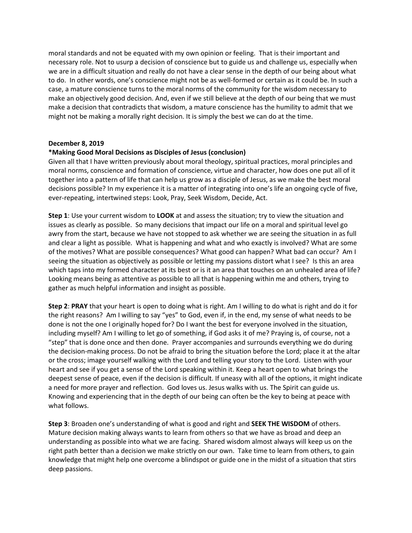moral standards and not be equated with my own opinion or feeling. That is their important and necessary role. Not to usurp a decision of conscience but to guide us and challenge us, especially when we are in a difficult situation and really do not have a clear sense in the depth of our being about what to do. In other words, one's conscience might not be as well-formed or certain as it could be. In such a case, a mature conscience turns to the moral norms of the community for the wisdom necessary to make an objectively good decision. And, even if we still believe at the depth of our being that we must make a decision that contradicts that wisdom, a mature conscience has the humility to admit that we might not be making a morally right decision. It is simply the best we can do at the time.

## **December 8, 2019**

# **\*Making Good Moral Decisions as Disciples of Jesus (conclusion)**

Given all that I have written previously about moral theology, spiritual practices, moral principles and moral norms, conscience and formation of conscience, virtue and character, how does one put all of it together into a pattern of life that can help us grow as a disciple of Jesus, as we make the best moral decisions possible? In my experience it is a matter of integrating into one's life an ongoing cycle of five, ever-repeating, intertwined steps: Look, Pray, Seek Wisdom, Decide, Act.

**Step 1**: Use your current wisdom to **LOOK** at and assess the situation; try to view the situation and issues as clearly as possible. So many decisions that impact our life on a moral and spiritual level go awry from the start, because we have not stopped to ask whether we are seeing the situation in as full and clear a light as possible. What is happening and what and who exactly is involved? What are some of the motives? What are possible consequences? What good can happen? What bad can occur? Am I seeing the situation as objectively as possible or letting my passions distort what I see? Is this an area which taps into my formed character at its best or is it an area that touches on an unhealed area of life? Looking means being as attentive as possible to all that is happening within me and others, trying to gather as much helpful information and insight as possible.

**Step 2**: **PRAY** that your heart is open to doing what is right. Am I willing to do what is right and do it for the right reasons? Am I willing to say "yes" to God, even if, in the end, my sense of what needs to be done is not the one I originally hoped for? Do I want the best for everyone involved in the situation, including myself? Am I willing to let go of something, if God asks it of me? Praying is, of course, not a "step" that is done once and then done. Prayer accompanies and surrounds everything we do during the decision-making process. Do not be afraid to bring the situation before the Lord; place it at the altar or the cross; image yourself walking with the Lord and telling your story to the Lord. Listen with your heart and see if you get a sense of the Lord speaking within it. Keep a heart open to what brings the deepest sense of peace, even if the decision is difficult. If uneasy with all of the options, it might indicate a need for more prayer and reflection. God loves us. Jesus walks with us. The Spirit can guide us. Knowing and experiencing that in the depth of our being can often be the key to being at peace with what follows.

**Step 3**: Broaden one's understanding of what is good and right and **SEEK THE WISDOM** of others. Mature decision making always wants to learn from others so that we have as broad and deep an understanding as possible into what we are facing. Shared wisdom almost always will keep us on the right path better than a decision we make strictly on our own. Take time to learn from others, to gain knowledge that might help one overcome a blindspot or guide one in the midst of a situation that stirs deep passions.